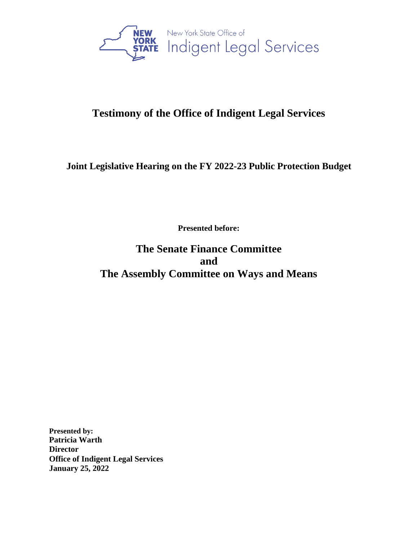

# **Testimony of the Office of Indigent Legal Services**

## **Joint Legislative Hearing on the FY 2022-23 Public Protection Budget**

**Presented before:**

**The Senate Finance Committee and The Assembly Committee on Ways and Means**

**Presented by: Patricia Warth Director Office of Indigent Legal Services January 25, 2022**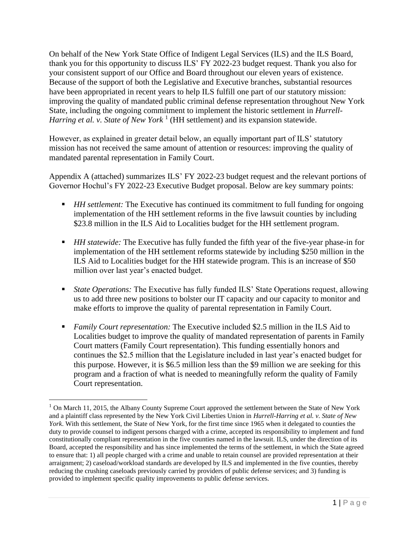On behalf of the New York State Office of Indigent Legal Services (ILS) and the ILS Board, thank you for this opportunity to discuss ILS' FY 2022-23 budget request. Thank you also for your consistent support of our Office and Board throughout our eleven years of existence. Because of the support of both the Legislative and Executive branches, substantial resources have been appropriated in recent years to help ILS fulfill one part of our statutory mission: improving the quality of mandated public criminal defense representation throughout New York State, including the ongoing commitment to implement the historic settlement in *Hurrell-*Harring et al. v. State of New York<sup>1</sup> (HH settlement) and its expansion statewide.

However, as explained in greater detail below, an equally important part of ILS' statutory mission has not received the same amount of attention or resources: improving the quality of mandated parental representation in Family Court.

Appendix A (attached) summarizes ILS' FY 2022-23 budget request and the relevant portions of Governor Hochul's FY 2022-23 Executive Budget proposal. Below are key summary points:

- *HH settlement:* The Executive has continued its commitment to full funding for ongoing implementation of the HH settlement reforms in the five lawsuit counties by including \$23.8 million in the ILS Aid to Localities budget for the HH settlement program.
- *HH statewide:* The Executive has fully funded the fifth year of the five-year phase-in for implementation of the HH settlement reforms statewide by including \$250 million in the ILS Aid to Localities budget for the HH statewide program. This is an increase of \$50 million over last year's enacted budget.
- *State Operations:* The Executive has fully funded ILS' State Operations request, allowing us to add three new positions to bolster our IT capacity and our capacity to monitor and make efforts to improve the quality of parental representation in Family Court.
- *Family Court representation:* The Executive included \$2.5 million in the ILS Aid to Localities budget to improve the quality of mandated representation of parents in Family Court matters (Family Court representation). This funding essentially honors and continues the \$2.5 million that the Legislature included in last year's enacted budget for this purpose. However, it is \$6.5 million less than the \$9 million we are seeking for this program and a fraction of what is needed to meaningfully reform the quality of Family Court representation.

<sup>&</sup>lt;sup>1</sup> On March 11, 2015, the Albany County Supreme Court approved the settlement between the State of New York and a plaintiff class represented by the New York Civil Liberties Union in *Hurrell-Harring et al. v. State of New York*. With this settlement, the State of New York, for the first time since 1965 when it delegated to counties the duty to provide counsel to indigent persons charged with a crime, accepted its responsibility to implement and fund constitutionally compliant representation in the five counties named in the lawsuit. ILS, under the direction of its Board, accepted the responsibility and has since implemented the terms of the settlement, in which the State agreed to ensure that: 1) all people charged with a crime and unable to retain counsel are provided representation at their arraignment; 2) caseload/workload standards are developed by ILS and implemented in the five counties, thereby reducing the crushing caseloads previously carried by providers of public defense services; and 3) funding is provided to implement specific quality improvements to public defense services.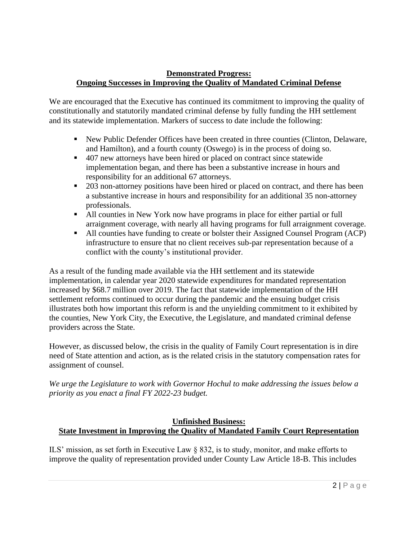#### **Demonstrated Progress: Ongoing Successes in Improving the Quality of Mandated Criminal Defense**

We are encouraged that the Executive has continued its commitment to improving the quality of constitutionally and statutorily mandated criminal defense by fully funding the HH settlement and its statewide implementation. Markers of success to date include the following:

- New Public Defender Offices have been created in three counties (Clinton, Delaware, and Hamilton), and a fourth county (Oswego) is in the process of doing so.
- 407 new attorneys have been hired or placed on contract since statewide implementation began, and there has been a substantive increase in hours and responsibility for an additional 67 attorneys.
- 203 non-attorney positions have been hired or placed on contract, and there has been a substantive increase in hours and responsibility for an additional 35 non-attorney professionals.
- All counties in New York now have programs in place for either partial or full arraignment coverage, with nearly all having programs for full arraignment coverage.
- All counties have funding to create or bolster their Assigned Counsel Program (ACP) infrastructure to ensure that no client receives sub-par representation because of a conflict with the county's institutional provider.

As a result of the funding made available via the HH settlement and its statewide implementation, in calendar year 2020 statewide expenditures for mandated representation increased by \$68.7 million over 2019. The fact that statewide implementation of the HH settlement reforms continued to occur during the pandemic and the ensuing budget crisis illustrates both how important this reform is and the unyielding commitment to it exhibited by the counties, New York City, the Executive, the Legislature, and mandated criminal defense providers across the State.

However, as discussed below, the crisis in the quality of Family Court representation is in dire need of State attention and action, as is the related crisis in the statutory compensation rates for assignment of counsel.

*We urge the Legislature to work with Governor Hochul to make addressing the issues below a priority as you enact a final FY 2022-23 budget.* 

#### **Unfinished Business: State Investment in Improving the Quality of Mandated Family Court Representation**

ILS' mission, as set forth in Executive Law § 832, is to study, monitor, and make efforts to improve the quality of representation provided under County Law Article 18-B. This includes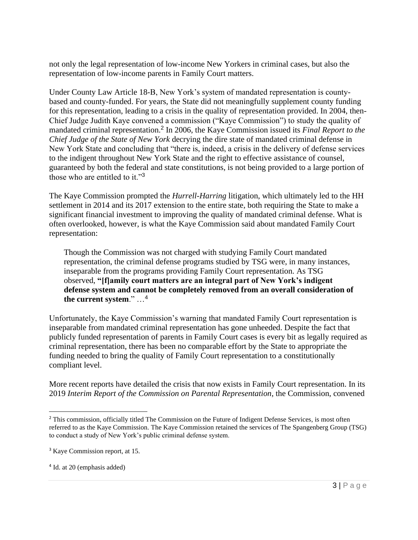not only the legal representation of low-income New Yorkers in criminal cases, but also the representation of low-income parents in Family Court matters.

Under County Law Article 18-B, New York's system of mandated representation is countybased and county-funded. For years, the State did not meaningfully supplement county funding for this representation, leading to a crisis in the quality of representation provided. In 2004, then-Chief Judge Judith Kaye convened a commission ("Kaye Commission") to study the quality of mandated criminal representation.<sup>2</sup> In 2006, the Kaye Commission issued its *Final Report to the Chief Judge of the State of New York* decrying the dire state of mandated criminal defense in New York State and concluding that "there is, indeed, a crisis in the delivery of defense services to the indigent throughout New York State and the right to effective assistance of counsel, guaranteed by both the federal and state constitutions, is not being provided to a large portion of those who are entitled to it."<sup>3</sup>

The Kaye Commission prompted the *Hurrell-Harring* litigation, which ultimately led to the HH settlement in 2014 and its 2017 extension to the entire state, both requiring the State to make a significant financial investment to improving the quality of mandated criminal defense. What is often overlooked, however, is what the Kaye Commission said about mandated Family Court representation:

Though the Commission was not charged with studying Family Court mandated representation, the criminal defense programs studied by TSG were, in many instances, inseparable from the programs providing Family Court representation. As TSG observed, **"[f]amily court matters are an integral part of New York's indigent defense system and cannot be completely removed from an overall consideration of the current system**." …<sup>4</sup>

Unfortunately, the Kaye Commission's warning that mandated Family Court representation is inseparable from mandated criminal representation has gone unheeded. Despite the fact that publicly funded representation of parents in Family Court cases is every bit as legally required as criminal representation, there has been no comparable effort by the State to appropriate the funding needed to bring the quality of Family Court representation to a constitutionally compliant level.

More recent reports have detailed the crisis that now exists in Family Court representation. In its 2019 *Interim Report of the Commission on Parental Representation*, the Commission, convened

<sup>&</sup>lt;sup>2</sup> This commission, officially titled The Commission on the Future of Indigent Defense Services, is most often referred to as the Kaye Commission. The Kaye Commission retained the services of The Spangenberg Group (TSG) to conduct a study of New York's public criminal defense system.

<sup>3</sup> Kaye Commission report, at 15.

<sup>4</sup> Id. at 20 (emphasis added)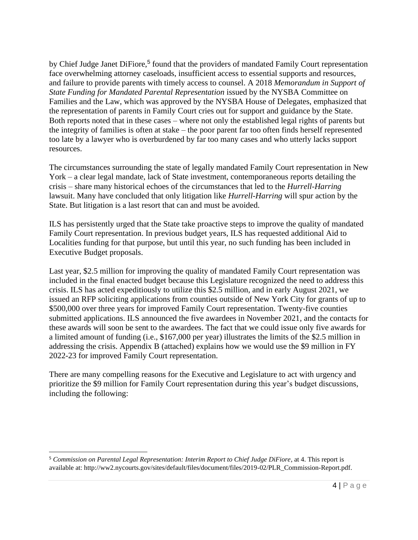by Chief Judge Janet DiFiore,<sup>5</sup> found that the providers of mandated Family Court representation face overwhelming attorney caseloads, insufficient access to essential supports and resources, and failure to provide parents with timely access to counsel. A 2018 *Memorandum in Support of State Funding for Mandated Parental Representation* issued by the NYSBA Committee on Families and the Law, which was approved by the NYSBA House of Delegates, emphasized that the representation of parents in Family Court cries out for support and guidance by the State. Both reports noted that in these cases – where not only the established legal rights of parents but the integrity of families is often at stake – the poor parent far too often finds herself represented too late by a lawyer who is overburdened by far too many cases and who utterly lacks support resources.

The circumstances surrounding the state of legally mandated Family Court representation in New York – a clear legal mandate, lack of State investment, contemporaneous reports detailing the crisis – share many historical echoes of the circumstances that led to the *Hurrell-Harring*  lawsuit. Many have concluded that only litigation like *Hurrell-Harring* will spur action by the State. But litigation is a last resort that can and must be avoided.

ILS has persistently urged that the State take proactive steps to improve the quality of mandated Family Court representation. In previous budget years, ILS has requested additional Aid to Localities funding for that purpose, but until this year, no such funding has been included in Executive Budget proposals.

Last year, \$2.5 million for improving the quality of mandated Family Court representation was included in the final enacted budget because this Legislature recognized the need to address this crisis. ILS has acted expeditiously to utilize this \$2.5 million, and in early August 2021, we issued an RFP soliciting applications from counties outside of New York City for grants of up to \$500,000 over three years for improved Family Court representation. Twenty-five counties submitted applications. ILS announced the five awardees in November 2021, and the contacts for these awards will soon be sent to the awardees. The fact that we could issue only five awards for a limited amount of funding (i.e., \$167,000 per year) illustrates the limits of the \$2.5 million in addressing the crisis. Appendix B (attached) explains how we would use the \$9 million in FY 2022-23 for improved Family Court representation.

There are many compelling reasons for the Executive and Legislature to act with urgency and prioritize the \$9 million for Family Court representation during this year's budget discussions, including the following:

<sup>5</sup> *Commission on Parental Legal Representation: Interim Report to Chief Judge DiFiore*, at 4. This report is available at: http://ww2.nycourts.gov/sites/default/files/document/files/2019-02/PLR\_Commission-Report.pdf.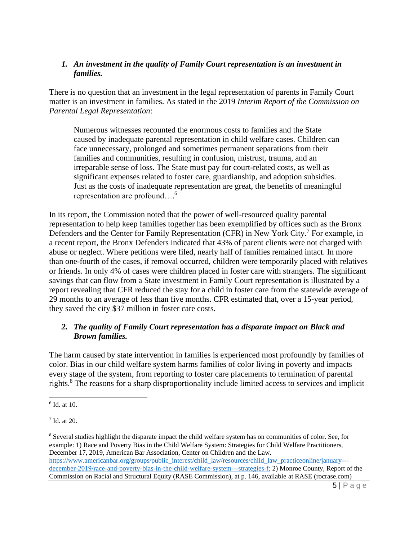#### *1. An investment in the quality of Family Court representation is an investment in families.*

There is no question that an investment in the legal representation of parents in Family Court matter is an investment in families. As stated in the 2019 *Interim Report of the Commission on Parental Legal Representation*:

Numerous witnesses recounted the enormous costs to families and the State caused by inadequate parental representation in child welfare cases. Children can face unnecessary, prolonged and sometimes permanent separations from their families and communities, resulting in confusion, mistrust, trauma, and an irreparable sense of loss. The State must pay for court-related costs, as well as significant expenses related to foster care, guardianship, and adoption subsidies. Just as the costs of inadequate representation are great, the benefits of meaningful representation are profound…. 6

In its report, the Commission noted that the power of well-resourced quality parental representation to help keep families together has been exemplified by offices such as the Bronx Defenders and the Center for Family Representation (CFR) in New York City.<sup>7</sup> For example, in a recent report, the Bronx Defenders indicated that 43% of parent clients were not charged with abuse or neglect. Where petitions were filed, nearly half of families remained intact. In more than one-fourth of the cases, if removal occurred, children were temporarily placed with relatives or friends. In only 4% of cases were children placed in foster care with strangers. The significant savings that can flow from a State investment in Family Court representation is illustrated by a report revealing that CFR reduced the stay for a child in foster care from the statewide average of 29 months to an average of less than five months. CFR estimated that, over a 15-year period, they saved the city \$37 million in foster care costs.

#### *2. The quality of Family Court representation has a disparate impact on Black and Brown families.*

The harm caused by state intervention in families is experienced most profoundly by families of color. Bias in our child welfare system harms families of color living in poverty and impacts every stage of the system, from reporting to foster care placements to termination of parental rights.<sup>8</sup> The reasons for a sharp disproportionality include limited access to services and implicit

<sup>6</sup> Id. at 10.

<sup>7</sup> Id. at 20.

<sup>8</sup> Several studies highlight the disparate impact the child welfare system has on communities of color. See, for example: 1) Race and Poverty Bias in the Child Welfare System: Strategies for Child Welfare Practitioners, December 17, 2019, American Bar Association, Center on Children and the Law. [https://www.americanbar.org/groups/public\\_interest/child\\_law/resources/child\\_law\\_practiceonline/january--](https://www.americanbar.org/groups/public_interest/child_law/resources/child_law_practiceonline/january---december-2019/race-and-poverty-bias-in-the-child-welfare-system---strategies-f/) [december-2019/race-and-poverty-bias-in-the-child-welfare-system---strategies-f;](https://www.americanbar.org/groups/public_interest/child_law/resources/child_law_practiceonline/january---december-2019/race-and-poverty-bias-in-the-child-welfare-system---strategies-f/) 2) Monroe County, Report of the Commission on Racial and Structural Equity (RASE Commission), at p. 146, available at [RASE \(rocrase.com\)](https://rocrase.com/report)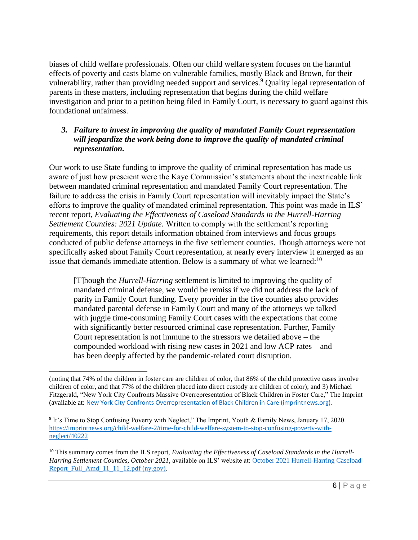biases of child welfare professionals. Often our child welfare system focuses on the harmful effects of poverty and casts blame on vulnerable families, mostly Black and Brown, for their vulnerability, rather than providing needed support and services.<sup>9</sup> Quality legal representation of parents in these matters, including representation that begins during the child welfare investigation and prior to a petition being filed in Family Court, is necessary to guard against this foundational unfairness.

#### *3. Failure to invest in improving the quality of mandated Family Court representation will jeopardize the work being done to improve the quality of mandated criminal representation.*

Our work to use State funding to improve the quality of criminal representation has made us aware of just how prescient were the Kaye Commission's statements about the inextricable link between mandated criminal representation and mandated Family Court representation. The failure to address the crisis in Family Court representation will inevitably impact the State's efforts to improve the quality of mandated criminal representation. This point was made in ILS' recent report, *Evaluating the Effectiveness of Caseload Standards in the Hurrell-Harring Settlement Counties: 2021 Update.* Written to comply with the settlement's reporting requirements, this report details information obtained from interviews and focus groups conducted of public defense attorneys in the five settlement counties. Though attorneys were not specifically asked about Family Court representation, at nearly every interview it emerged as an issue that demands immediate attention. Below is a summary of what we learned:<sup>10</sup>

[T]hough the *Hurrell-Harring* settlement is limited to improving the quality of mandated criminal defense, we would be remiss if we did not address the lack of parity in Family Court funding. Every provider in the five counties also provides mandated parental defense in Family Court and many of the attorneys we talked with juggle time-consuming Family Court cases with the expectations that come with significantly better resourced criminal case representation. Further, Family Court representation is not immune to the stressors we detailed above – the compounded workload with rising new cases in 2021 and low ACP rates – and has been deeply affected by the pandemic-related court disruption.

<sup>(</sup>noting that 74% of the children in foster care are children of color, that 86% of the child protective cases involve children of color, and that 77% of the children placed into direct custody are children of color); and 3) Michael Fitzgerald, "New York City Confronts Massive Overrepresentation of Black Children in Foster Care," The Imprint (available at: [New York City Confronts Overrepresentation of Black Children in Care \(imprintnews.org\).](https://imprintnews.org/featured/new-york-city-de-blasio-black-foster-care/33992#:~:text=Fifty-three%20percent%20of%20the%20roughly%209%2C000%20children%20in,all%20New%20Yorkers%20younger%20than%2018%20are%20black.)

<sup>&</sup>lt;sup>9</sup> It's Time to Stop Confusing Poverty with Neglect," The Imprint, Youth & Family News, January 17, 2020. [https://imprintnews.org/child-welfare-2/time-for-child-welfare-system-to-stop-confusing-poverty-with](https://imprintnews.org/child-welfare-2/time-for-child-welfare-system-to-stop-confusing-poverty-with-neglect/40222)[neglect/40222](https://imprintnews.org/child-welfare-2/time-for-child-welfare-system-to-stop-confusing-poverty-with-neglect/40222)

<sup>&</sup>lt;sup>10</sup> This summary comes from the ILS report, *Evaluating the Effectiveness of Caseload Standards in the Hurrell-Harring Settlement Counties, October 2021*, available on ILS' website at[: October 2021 Hurrell-Harring Caseload](https://www.ils.ny.gov/files/October%202021%20Hurrell-Harring%20Caseload%20Report_Full_Amd_11_11_12.pdf)  Report Full Amd 11\_11\_12.pdf (ny.gov).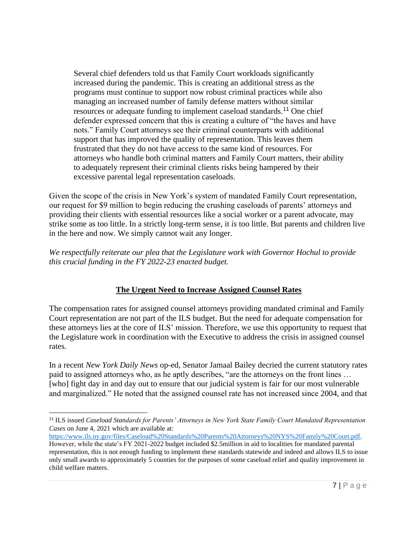Several chief defenders told us that Family Court workloads significantly increased during the pandemic. This is creating an additional stress as the programs must continue to support now robust criminal practices while also managing an increased number of family defense matters without similar resources or adequate funding to implement caseload standards.<sup>11</sup> One chief defender expressed concern that this is creating a culture of "the haves and have nots." Family Court attorneys see their criminal counterparts with additional support that has improved the quality of representation. This leaves them frustrated that they do not have access to the same kind of resources. For attorneys who handle both criminal matters and Family Court matters, their ability to adequately represent their criminal clients risks being hampered by their excessive parental legal representation caseloads.

Given the scope of the crisis in New York's system of mandated Family Court representation, our request for \$9 million to begin reducing the crushing caseloads of parents' attorneys and providing their clients with essential resources like a social worker or a parent advocate, may strike some as too little. In a strictly long-term sense, it *is* too little. But parents and children live in the here and now. We simply cannot wait any longer.

*We respectfully reiterate our plea that the Legislature work with Governor Hochul to provide this crucial funding in the FY 2022-23 enacted budget.*

#### **The Urgent Need to Increase Assigned Counsel Rates**

The compensation rates for assigned counsel attorneys providing mandated criminal and Family Court representation are not part of the ILS budget. But the need for adequate compensation for these attorneys lies at the core of ILS' mission. Therefore, we use this opportunity to request that the Legislature work in coordination with the Executive to address the crisis in assigned counsel rates.

In a recent *New York Daily News* op-ed, Senator Jamaal Bailey decried the current statutory rates paid to assigned attorneys who, as he aptly describes, "are the attorneys on the front lines … [who] fight day in and day out to ensure that our judicial system is fair for our most vulnerable and marginalized." He noted that the assigned counsel rate has not increased since 2004, and that

<sup>11</sup> ILS issued *Caseload Standards for Parents' Attorneys in New York State Family Court Mandated Representation Cases* on June 4, 2021 which are available at:

[https://www.ils.ny.gov/files/Caseload%20Standards%20Parents%20Attorneys%20NYS%20Family%20Court.pdf.](https://www.ils.ny.gov/files/Caseload%20Standards%20Parents%20Attorneys%20NYS%20Family%20Court.pdf) However, while the state's FY 2021-2022 budget included \$2.5million in aid to localities for mandated parental representation, this is not enough funding to implement these standards statewide and indeed and allows ILS to issue only small awards to approximately 5 counties for the purposes of some caseload relief and quality improvement in child welfare matters.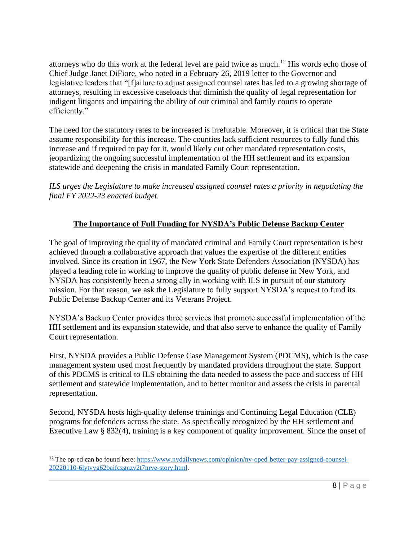attorneys who do this work at the federal level are paid twice as much.<sup>12</sup> His words echo those of Chief Judge Janet DiFiore, who noted in a February 26, 2019 letter to the Governor and legislative leaders that "[f]ailure to adjust assigned counsel rates has led to a growing shortage of attorneys, resulting in excessive caseloads that diminish the quality of legal representation for indigent litigants and impairing the ability of our criminal and family courts to operate efficiently."

The need for the statutory rates to be increased is irrefutable. Moreover, it is critical that the State assume responsibility for this increase. The counties lack sufficient resources to fully fund this increase and if required to pay for it, would likely cut other mandated representation costs, jeopardizing the ongoing successful implementation of the HH settlement and its expansion statewide and deepening the crisis in mandated Family Court representation.

*ILS urges the Legislature to make increased assigned counsel rates a priority in negotiating the final FY 2022-23 enacted budget.*

### **The Importance of Full Funding for NYSDA's Public Defense Backup Center**

The goal of improving the quality of mandated criminal and Family Court representation is best achieved through a collaborative approach that values the expertise of the different entities involved. Since its creation in 1967, the New York State Defenders Association (NYSDA) has played a leading role in working to improve the quality of public defense in New York, and NYSDA has consistently been a strong ally in working with ILS in pursuit of our statutory mission. For that reason, we ask the Legislature to fully support NYSDA's request to fund its Public Defense Backup Center and its Veterans Project.

NYSDA's Backup Center provides three services that promote successful implementation of the HH settlement and its expansion statewide, and that also serve to enhance the quality of Family Court representation.

First, NYSDA provides a Public Defense Case Management System (PDCMS), which is the case management system used most frequently by mandated providers throughout the state. Support of this PDCMS is critical to ILS obtaining the data needed to assess the pace and success of HH settlement and statewide implementation, and to better monitor and assess the crisis in parental representation.

Second, NYSDA hosts high-quality defense trainings and Continuing Legal Education (CLE) programs for defenders across the state. As specifically recognized by the HH settlement and Executive Law § 832(4), training is a key component of quality improvement. Since the onset of

<sup>12</sup> The op-ed can be found here: [https://www.nydailynews.com/opinion/ny-oped-better-pay-assigned-counsel-](https://www.nydailynews.com/opinion/ny-oped-better-pay-assigned-counsel-20220110-6lytvyg62baifczgnzv2t7nrve-story.html)[20220110-6lytvyg62baifczgnzv2t7nrve-story.html.](https://www.nydailynews.com/opinion/ny-oped-better-pay-assigned-counsel-20220110-6lytvyg62baifczgnzv2t7nrve-story.html)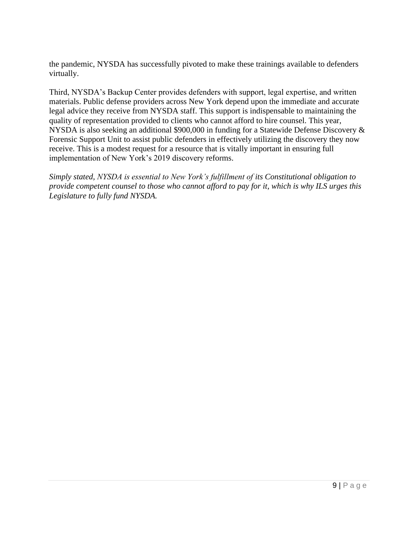the pandemic, NYSDA has successfully pivoted to make these trainings available to defenders virtually.

Third, NYSDA's Backup Center provides defenders with support, legal expertise, and written materials. Public defense providers across New York depend upon the immediate and accurate legal advice they receive from NYSDA staff. This support is indispensable to maintaining the quality of representation provided to clients who cannot afford to hire counsel. This year, NYSDA is also seeking an additional \$900,000 in funding for a Statewide Defense Discovery & Forensic Support Unit to assist public defenders in effectively utilizing the discovery they now receive. This is a modest request for a resource that is vitally important in ensuring full implementation of New York's 2019 discovery reforms.

*Simply stated, NYSDA is essential to New York's fulfillment of its Constitutional obligation to provide competent counsel to those who cannot afford to pay for it, which is why ILS urges this Legislature to fully fund NYSDA.*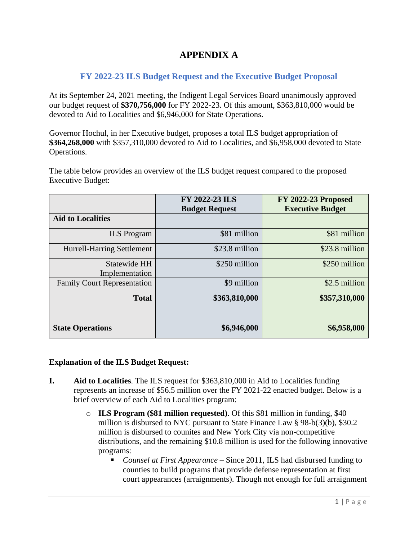## **APPENDIX A**

#### **FY 2022-23 ILS Budget Request and the Executive Budget Proposal**

At its September 24, 2021 meeting, the Indigent Legal Services Board unanimously approved our budget request of **\$370,756,000** for FY 2022-23. Of this amount, \$363,810,000 would be devoted to Aid to Localities and \$6,946,000 for State Operations.

Governor Hochul, in her Executive budget, proposes a total ILS budget appropriation of **\$364,268,000** with \$357,310,000 devoted to Aid to Localities, and \$6,958,000 devoted to State Operations.

The table below provides an overview of the ILS budget request compared to the proposed Executive Budget:

|                                    | <b>FY 2022-23 ILS</b><br><b>Budget Request</b> | <b>FY 2022-23 Proposed</b><br><b>Executive Budget</b> |
|------------------------------------|------------------------------------------------|-------------------------------------------------------|
| <b>Aid to Localities</b>           |                                                |                                                       |
| <b>ILS</b> Program                 | \$81 million                                   | \$81 million                                          |
| <b>Hurrell-Harring Settlement</b>  | \$23.8 million                                 | \$23.8 million                                        |
| Statewide HH<br>Implementation     | \$250 million                                  | \$250 million                                         |
| <b>Family Court Representation</b> | \$9 million                                    | \$2.5 million                                         |
| <b>Total</b>                       | \$363,810,000                                  | \$357,310,000                                         |
|                                    |                                                |                                                       |
| <b>State Operations</b>            | \$6,946,000                                    | \$6,958,000                                           |

#### **Explanation of the ILS Budget Request:**

- **I. Aid to Localities**. The ILS request for \$363,810,000 in Aid to Localities funding represents an increase of \$56.5 million over the FY 2021-22 enacted budget. Below is a brief overview of each Aid to Localities program:
	- o **ILS Program (\$81 million requested)**. Of this \$81 million in funding, \$40 million is disbursed to NYC pursuant to State Finance Law § 98-b(3)(b), \$30.2 million is disbursed to counites and New York City via non-competitive distributions, and the remaining \$10.8 million is used for the following innovative programs:
		- *Counsel at First Appearance* Since 2011, ILS had disbursed funding to counties to build programs that provide defense representation at first court appearances (arraignments). Though not enough for full arraignment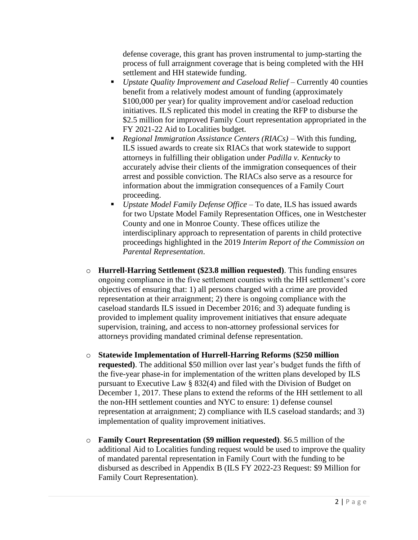defense coverage, this grant has proven instrumental to jump-starting the process of full arraignment coverage that is being completed with the HH settlement and HH statewide funding.

- *Upstate Quality Improvement and Caseload Relief* Currently 40 counties benefit from a relatively modest amount of funding (approximately \$100,000 per year) for quality improvement and/or caseload reduction initiatives. ILS replicated this model in creating the RFP to disburse the \$2.5 million for improved Family Court representation appropriated in the FY 2021-22 Aid to Localities budget.
- *Regional Immigration Assistance Centers (RIACs)* With this funding, ILS issued awards to create six RIACs that work statewide to support attorneys in fulfilling their obligation under *Padilla v. Kentucky* to accurately advise their clients of the immigration consequences of their arrest and possible conviction. The RIACs also serve as a resource for information about the immigration consequences of a Family Court proceeding.
- *Upstate Model Family Defense Office* To date, ILS has issued awards for two Upstate Model Family Representation Offices, one in Westchester County and one in Monroe County. These offices utilize the interdisciplinary approach to representation of parents in child protective proceedings highlighted in the 2019 *Interim Report of the Commission on Parental Representation*.
- o **Hurrell-Harring Settlement (\$23.8 million requested)**. This funding ensures ongoing compliance in the five settlement counties with the HH settlement's core objectives of ensuring that: 1) all persons charged with a crime are provided representation at their arraignment; 2) there is ongoing compliance with the caseload standards ILS issued in December 2016; and 3) adequate funding is provided to implement quality improvement initiatives that ensure adequate supervision, training, and access to non-attorney professional services for attorneys providing mandated criminal defense representation.
- o **Statewide Implementation of Hurrell-Harring Reforms (\$250 million requested)**. The additional \$50 million over last year's budget funds the fifth of the five-year phase-in for implementation of the written plans developed by ILS pursuant to Executive Law § 832(4) and filed with the Division of Budget on December 1, 2017. These plans to extend the reforms of the HH settlement to all the non-HH settlement counties and NYC to ensure: 1) defense counsel representation at arraignment; 2) compliance with ILS caseload standards; and 3) implementation of quality improvement initiatives.
- o **Family Court Representation (\$9 million requested)**. \$6.5 million of the additional Aid to Localities funding request would be used to improve the quality of mandated parental representation in Family Court with the funding to be disbursed as described in Appendix B (ILS FY 2022-23 Request: \$9 Million for Family Court Representation).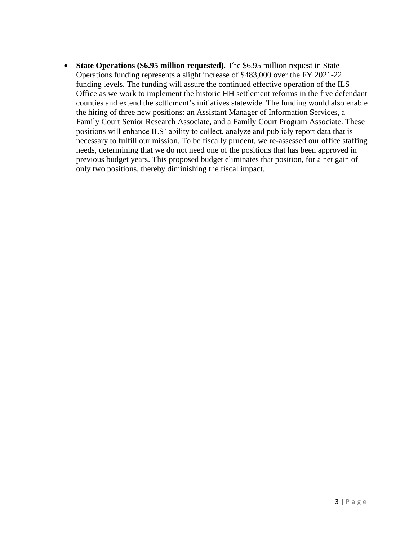• **State Operations (\$6.95 million requested)**. The \$6.95 million request in State Operations funding represents a slight increase of \$483,000 over the FY 2021-22 funding levels. The funding will assure the continued effective operation of the ILS Office as we work to implement the historic HH settlement reforms in the five defendant counties and extend the settlement's initiatives statewide. The funding would also enable the hiring of three new positions: an Assistant Manager of Information Services, a Family Court Senior Research Associate, and a Family Court Program Associate. These positions will enhance ILS' ability to collect, analyze and publicly report data that is necessary to fulfill our mission. To be fiscally prudent, we re-assessed our office staffing needs, determining that we do not need one of the positions that has been approved in previous budget years. This proposed budget eliminates that position, for a net gain of only two positions, thereby diminishing the fiscal impact.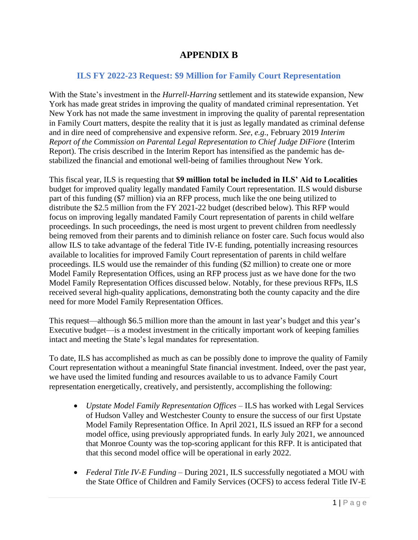## **APPENDIX B**

#### **ILS FY 2022-23 Request: \$9 Million for Family Court Representation**

With the State's investment in the *Hurrell-Harring* settlement and its statewide expansion, New York has made great strides in improving the quality of mandated criminal representation. Yet New York has not made the same investment in improving the quality of parental representation in Family Court matters, despite the reality that it is just as legally mandated as criminal defense and in dire need of comprehensive and expensive reform. *See, e.g.*, February 2019 *Interim Report of the Commission on Parental Legal Representation to Chief Judge DiFiore* (Interim Report). The crisis described in the Interim Report has intensified as the pandemic has destabilized the financial and emotional well-being of families throughout New York.

This fiscal year, ILS is requesting that **\$9 million total be included in ILS' Aid to Localities** budget for improved quality legally mandated Family Court representation. ILS would disburse part of this funding (\$7 million) via an RFP process, much like the one being utilized to distribute the \$2.5 million from the FY 2021-22 budget (described below). This RFP would focus on improving legally mandated Family Court representation of parents in child welfare proceedings. In such proceedings, the need is most urgent to prevent children from needlessly being removed from their parents and to diminish reliance on foster care. Such focus would also allow ILS to take advantage of the federal Title IV-E funding, potentially increasing resources available to localities for improved Family Court representation of parents in child welfare proceedings. ILS would use the remainder of this funding (\$2 million) to create one or more Model Family Representation Offices, using an RFP process just as we have done for the two Model Family Representation Offices discussed below. Notably, for these previous RFPs, ILS received several high-quality applications, demonstrating both the county capacity and the dire need for more Model Family Representation Offices.

This request—although \$6.5 million more than the amount in last year's budget and this year's Executive budget—is a modest investment in the critically important work of keeping families intact and meeting the State's legal mandates for representation.

To date, ILS has accomplished as much as can be possibly done to improve the quality of Family Court representation without a meaningful State financial investment. Indeed, over the past year, we have used the limited funding and resources available to us to advance Family Court representation energetically, creatively, and persistently, accomplishing the following:

- *Upstate Model Family Representation Offices* ILS has worked with Legal Services of Hudson Valley and Westchester County to ensure the success of our first Upstate Model Family Representation Office. In April 2021, ILS issued an RFP for a second model office, using previously appropriated funds. In early July 2021, we announced that Monroe County was the top-scoring applicant for this RFP. It is anticipated that that this second model office will be operational in early 2022.
- *Federal Title IV-E Funding*  During 2021, ILS successfully negotiated a MOU with the State Office of Children and Family Services (OCFS) to access federal Title IV-E